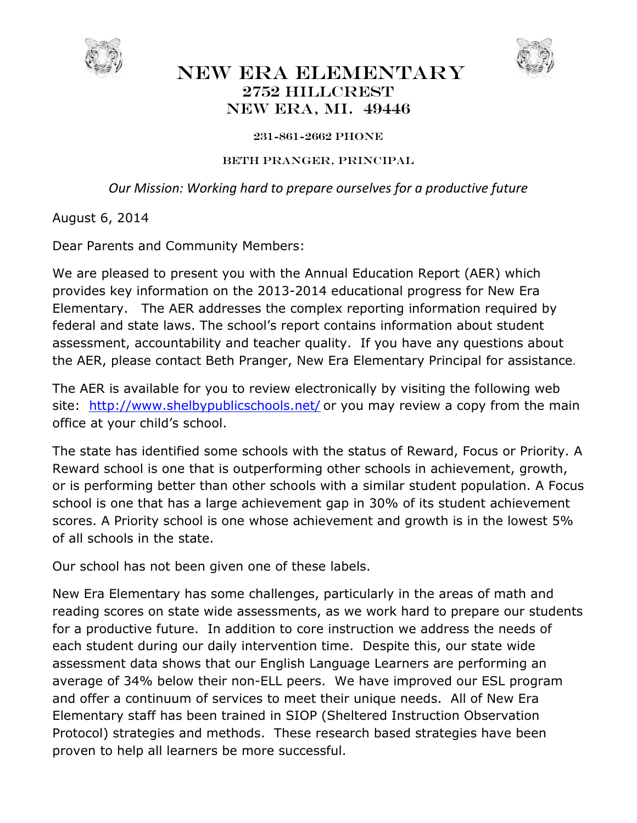

## NEW ERA ELEMENTARY 2752 Hillcrest New Era, Mi. 49446



## 231-861-2662 phone

## Beth Pranger, Principal

*Our Mission: Working hard to prepare ourselves for a productive future* 

August 6, 2014

Dear Parents and Community Members:

We are pleased to present you with the Annual Education Report (AER) which provides key information on the 2013-2014 educational progress for New Era Elementary. The AER addresses the complex reporting information required by federal and state laws. The school's report contains information about student assessment, accountability and teacher quality. If you have any questions about the AER, please contact Beth Pranger, New Era Elementary Principal for assistance.

The AER is available for you to review electronically by visiting the following web site: http://www.shelbypublicschools.net/ or you may review a copy from the main office at your child's school.

The state has identified some schools with the status of Reward, Focus or Priority. A Reward school is one that is outperforming other schools in achievement, growth, or is performing better than other schools with a similar student population. A Focus school is one that has a large achievement gap in 30% of its student achievement scores. A Priority school is one whose achievement and growth is in the lowest 5% of all schools in the state.

Our school has not been given one of these labels.

New Era Elementary has some challenges, particularly in the areas of math and reading scores on state wide assessments, as we work hard to prepare our students for a productive future. In addition to core instruction we address the needs of each student during our daily intervention time. Despite this, our state wide assessment data shows that our English Language Learners are performing an average of 34% below their non-ELL peers. We have improved our ESL program and offer a continuum of services to meet their unique needs. All of New Era Elementary staff has been trained in SIOP (Sheltered Instruction Observation Protocol) strategies and methods. These research based strategies have been proven to help all learners be more successful.